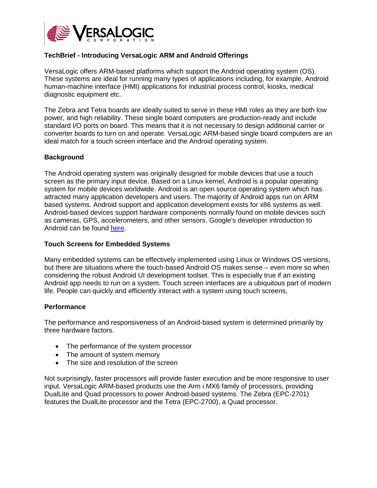

# **TechBrief - Introducing VersaLogic ARM and Android Offerings**

VersaLogic offers ARM-based platforms which support the Android operating system (OS). These systems are ideal for running many types of applications including, for example, Android human-machine interface (HMI) applications for industrial process control, kiosks, medical diagnostic equipment etc.

The Zebra and Tetra boards are ideally suited to serve in these HMI roles as they are both low power, and high reliability. These single board computers are production-ready and include standard I/O ports on board. This means that it is not necessary to design additional carrier or converter boards to turn on and operate. VersaLogic ARM-based single board computers are an ideal match for a touch screen interface and the Android operating system.

### **Background**

The Android operating system was originally designed for mobile devices that use a touch screen as the primary input device. Based on a Linux kernel, Android is a popular operating system for mobile devices worldwide. Android is an open source operating system which has attracted many application developers and users. The majority of Android apps run on ARM based systems. Android support and application development exists for x86 systems as well. Android-based devices support hardware components normally found on mobile devices such as cameras, GPS, accelerometers, and other sensors. Google's developer introduction to Android can be found [here.](https://google-developer-training.gitbooks.io/android-developer-fundamentals-course-concepts/content/en/Unit%201/10_c_intro_to_android.html)

### **Touch Screens for Embedded Systems**

Many embedded systems can be effectively implemented using Linux or Windows OS versions, but there are situations where the touch-based Android OS makes sense – even more so when considering the robust Android UI development toolset. This is especially true if an existing Android app needs to run on a system. Touch screen interfaces are a ubiquitous part of modern life. People can quickly and efficiently interact with a system using touch screens,

#### **Performance**

The performance and responsiveness of an Android-based system is determined primarily by three hardware factors.

- The performance of the system processor
- The amount of system memory
- The size and resolution of the screen

Not surprisingly, faster processors will provide faster execution and be more responsive to user input. VersaLogic ARM-based products use the Arm i.MX6 family of processors, providing DualLite and Quad processors to power Android-based systems. The Zebra (EPC-2701) features the DualLite processor and the Tetra (EPC-2700), a Quad processor.